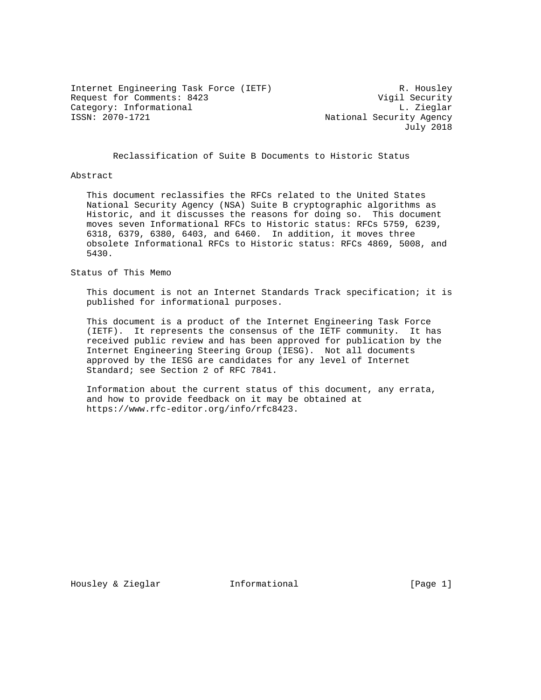Internet Engineering Task Force (IETF) R. Housley Request for Comments: 8423 Vigil Security Category: Informational and L. Zieglar<br>
ISSN: 2070-1721 and L. Zieglar<br>
L. Zieglar<br>
National Security Agency

National Security Agency July 2018

Reclassification of Suite B Documents to Historic Status

#### Abstract

 This document reclassifies the RFCs related to the United States National Security Agency (NSA) Suite B cryptographic algorithms as Historic, and it discusses the reasons for doing so. This document moves seven Informational RFCs to Historic status: RFCs 5759, 6239, 6318, 6379, 6380, 6403, and 6460. In addition, it moves three obsolete Informational RFCs to Historic status: RFCs 4869, 5008, and 5430.

## Status of This Memo

 This document is not an Internet Standards Track specification; it is published for informational purposes.

 This document is a product of the Internet Engineering Task Force (IETF). It represents the consensus of the IETF community. It has received public review and has been approved for publication by the Internet Engineering Steering Group (IESG). Not all documents approved by the IESG are candidates for any level of Internet Standard; see Section 2 of RFC 7841.

 Information about the current status of this document, any errata, and how to provide feedback on it may be obtained at https://www.rfc-editor.org/info/rfc8423.

Housley & Zieglar **Informational** [Page 1]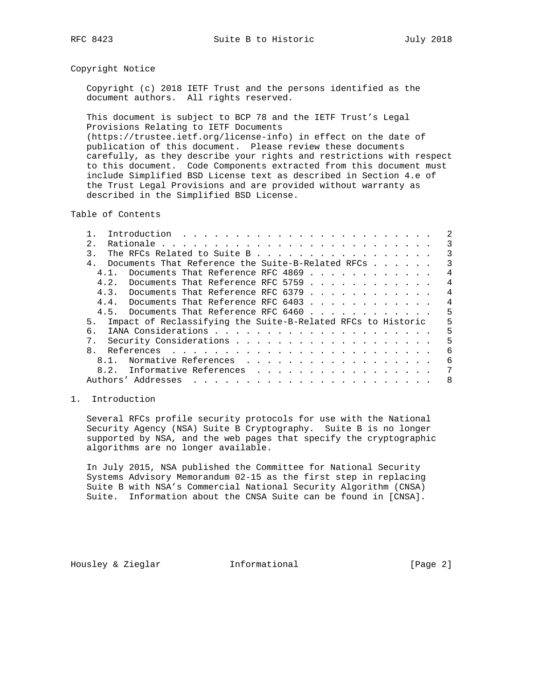### Copyright Notice

 Copyright (c) 2018 IETF Trust and the persons identified as the document authors. All rights reserved.

 This document is subject to BCP 78 and the IETF Trust's Legal Provisions Relating to IETF Documents (https://trustee.ietf.org/license-info) in effect on the date of publication of this document. Please review these documents carefully, as they describe your rights and restrictions with respect to this document. Code Components extracted from this document must include Simplified BSD License text as described in Section 4.e of the Trust Legal Provisions and are provided without warranty as described in the Simplified BSD License.

Table of Contents

| $2^{\circ}$                                                        | 3              |
|--------------------------------------------------------------------|----------------|
| The RFCs Related to Suite B<br>3.                                  | 3              |
| Documents That Reference the Suite-B-Related RFCs                  | 3              |
| Documents That Reference RFC 4869<br>4 1                           | 4              |
| 4.2. Documents That Reference RFC 5759                             | 4              |
| 4.3. Documents That Reference RFC 6379                             | $\overline{4}$ |
| 4.4. Documents That Reference RFC 6403                             | $\overline{4}$ |
| 4.5. Documents That Reference RFC 6460                             | 5              |
| Impact of Reclassifying the Suite-B-Related RFCs to Historic<br>5. | 5              |
| б.                                                                 | 5              |
|                                                                    | 5              |
| $\mathsf{R}$                                                       | 6              |
| Normative References<br>$8.1$ .                                    | 6              |
| 8.2. Informative References                                        | 7              |
|                                                                    | -8             |

### 1. Introduction

 Several RFCs profile security protocols for use with the National Security Agency (NSA) Suite B Cryptography. Suite B is no longer supported by NSA, and the web pages that specify the cryptographic algorithms are no longer available.

 In July 2015, NSA published the Committee for National Security Systems Advisory Memorandum 02-15 as the first step in replacing Suite B with NSA's Commercial National Security Algorithm (CNSA) Suite. Information about the CNSA Suite can be found in [CNSA].

Housley & Zieglar **Informational** [Page 2]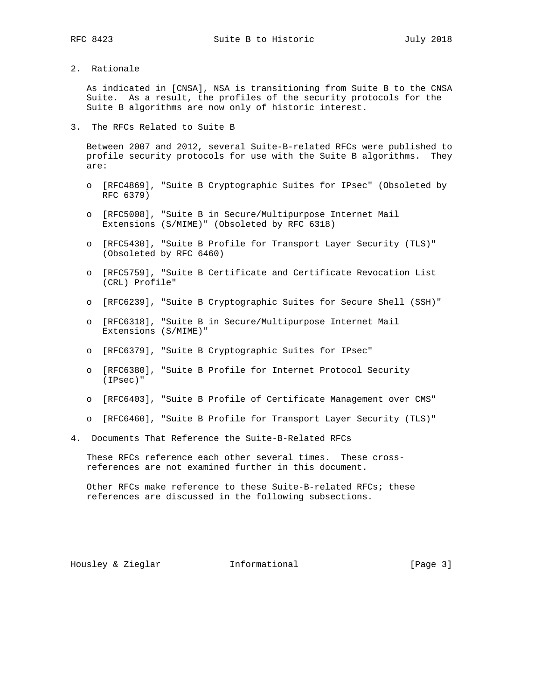2. Rationale

 As indicated in [CNSA], NSA is transitioning from Suite B to the CNSA Suite. As a result, the profiles of the security protocols for the Suite B algorithms are now only of historic interest.

3. The RFCs Related to Suite B

 Between 2007 and 2012, several Suite-B-related RFCs were published to profile security protocols for use with the Suite B algorithms. They are:

- o [RFC4869], "Suite B Cryptographic Suites for IPsec" (Obsoleted by RFC 6379)
- o [RFC5008], "Suite B in Secure/Multipurpose Internet Mail Extensions (S/MIME)" (Obsoleted by RFC 6318)
- o [RFC5430], "Suite B Profile for Transport Layer Security (TLS)" (Obsoleted by RFC 6460)
- o [RFC5759], "Suite B Certificate and Certificate Revocation List (CRL) Profile"
- o [RFC6239], "Suite B Cryptographic Suites for Secure Shell (SSH)"
- o [RFC6318], "Suite B in Secure/Multipurpose Internet Mail Extensions (S/MIME)"
- o [RFC6379], "Suite B Cryptographic Suites for IPsec"
- o [RFC6380], "Suite B Profile for Internet Protocol Security (IPsec)"
- o [RFC6403], "Suite B Profile of Certificate Management over CMS"
- o [RFC6460], "Suite B Profile for Transport Layer Security (TLS)"
- 4. Documents That Reference the Suite-B-Related RFCs

 These RFCs reference each other several times. These cross references are not examined further in this document.

 Other RFCs make reference to these Suite-B-related RFCs; these references are discussed in the following subsections.

Housley & Zieglar **Informational** [Page 3]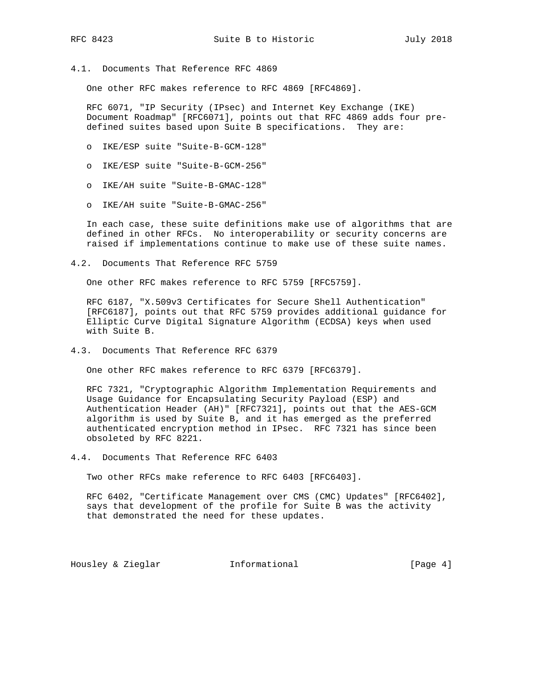4.1. Documents That Reference RFC 4869

One other RFC makes reference to RFC 4869 [RFC4869].

 RFC 6071, "IP Security (IPsec) and Internet Key Exchange (IKE) Document Roadmap" [RFC6071], points out that RFC 4869 adds four pre defined suites based upon Suite B specifications. They are:

- o IKE/ESP suite "Suite-B-GCM-128"
- o IKE/ESP suite "Suite-B-GCM-256"
- o IKE/AH suite "Suite-B-GMAC-128"
- o IKE/AH suite "Suite-B-GMAC-256"

 In each case, these suite definitions make use of algorithms that are defined in other RFCs. No interoperability or security concerns are raised if implementations continue to make use of these suite names.

4.2. Documents That Reference RFC 5759

One other RFC makes reference to RFC 5759 [RFC5759].

 RFC 6187, "X.509v3 Certificates for Secure Shell Authentication" [RFC6187], points out that RFC 5759 provides additional guidance for Elliptic Curve Digital Signature Algorithm (ECDSA) keys when used with Suite B.

4.3. Documents That Reference RFC 6379

One other RFC makes reference to RFC 6379 [RFC6379].

 RFC 7321, "Cryptographic Algorithm Implementation Requirements and Usage Guidance for Encapsulating Security Payload (ESP) and Authentication Header (AH)" [RFC7321], points out that the AES-GCM algorithm is used by Suite B, and it has emerged as the preferred authenticated encryption method in IPsec. RFC 7321 has since been obsoleted by RFC 8221.

4.4. Documents That Reference RFC 6403

Two other RFCs make reference to RFC 6403 [RFC6403].

 RFC 6402, "Certificate Management over CMS (CMC) Updates" [RFC6402], says that development of the profile for Suite B was the activity that demonstrated the need for these updates.

Housley & Zieglar **Informational** [Page 4]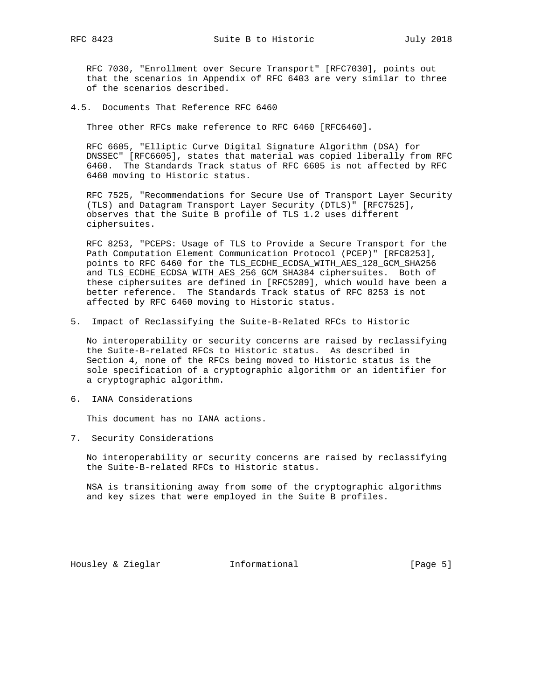RFC 7030, "Enrollment over Secure Transport" [RFC7030], points out that the scenarios in Appendix of RFC 6403 are very similar to three of the scenarios described.

4.5. Documents That Reference RFC 6460

Three other RFCs make reference to RFC 6460 [RFC6460].

 RFC 6605, "Elliptic Curve Digital Signature Algorithm (DSA) for DNSSEC" [RFC6605], states that material was copied liberally from RFC 6460. The Standards Track status of RFC 6605 is not affected by RFC 6460 moving to Historic status.

 RFC 7525, "Recommendations for Secure Use of Transport Layer Security (TLS) and Datagram Transport Layer Security (DTLS)" [RFC7525], observes that the Suite B profile of TLS 1.2 uses different ciphersuites.

 RFC 8253, "PCEPS: Usage of TLS to Provide a Secure Transport for the Path Computation Element Communication Protocol (PCEP)" [RFC8253], points to RFC 6460 for the TLS\_ECDHE\_ECDSA\_WITH\_AES\_128\_GCM\_SHA256 and TLS\_ECDHE\_ECDSA\_WITH\_AES\_256\_GCM\_SHA384 ciphersuites. Both of these ciphersuites are defined in [RFC5289], which would have been a better reference. The Standards Track status of RFC 8253 is not affected by RFC 6460 moving to Historic status.

5. Impact of Reclassifying the Suite-B-Related RFCs to Historic

 No interoperability or security concerns are raised by reclassifying the Suite-B-related RFCs to Historic status. As described in Section 4, none of the RFCs being moved to Historic status is the sole specification of a cryptographic algorithm or an identifier for a cryptographic algorithm.

6. IANA Considerations

This document has no IANA actions.

7. Security Considerations

 No interoperability or security concerns are raised by reclassifying the Suite-B-related RFCs to Historic status.

 NSA is transitioning away from some of the cryptographic algorithms and key sizes that were employed in the Suite B profiles.

Housley & Zieglar **Informational** [Page 5]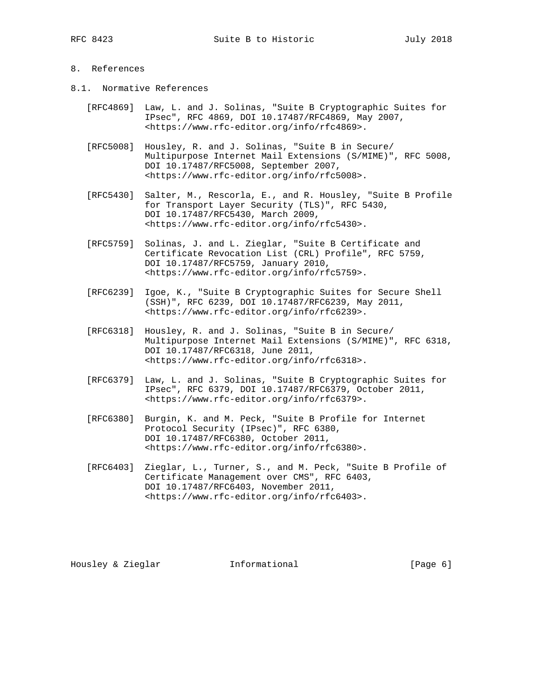# 8. References

- 8.1. Normative References
	- [RFC4869] Law, L. and J. Solinas, "Suite B Cryptographic Suites for IPsec", RFC 4869, DOI 10.17487/RFC4869, May 2007, <https://www.rfc-editor.org/info/rfc4869>.
	- [RFC5008] Housley, R. and J. Solinas, "Suite B in Secure/ Multipurpose Internet Mail Extensions (S/MIME)", RFC 5008, DOI 10.17487/RFC5008, September 2007, <https://www.rfc-editor.org/info/rfc5008>.
	- [RFC5430] Salter, M., Rescorla, E., and R. Housley, "Suite B Profile for Transport Layer Security (TLS)", RFC 5430, DOI 10.17487/RFC5430, March 2009, <https://www.rfc-editor.org/info/rfc5430>.
	- [RFC5759] Solinas, J. and L. Zieglar, "Suite B Certificate and Certificate Revocation List (CRL) Profile", RFC 5759, DOI 10.17487/RFC5759, January 2010, <https://www.rfc-editor.org/info/rfc5759>.
	- [RFC6239] Igoe, K., "Suite B Cryptographic Suites for Secure Shell (SSH)", RFC 6239, DOI 10.17487/RFC6239, May 2011, <https://www.rfc-editor.org/info/rfc6239>.
	- [RFC6318] Housley, R. and J. Solinas, "Suite B in Secure/ Multipurpose Internet Mail Extensions (S/MIME)", RFC 6318, DOI 10.17487/RFC6318, June 2011, <https://www.rfc-editor.org/info/rfc6318>.
	- [RFC6379] Law, L. and J. Solinas, "Suite B Cryptographic Suites for IPsec", RFC 6379, DOI 10.17487/RFC6379, October 2011, <https://www.rfc-editor.org/info/rfc6379>.
	- [RFC6380] Burgin, K. and M. Peck, "Suite B Profile for Internet Protocol Security (IPsec)", RFC 6380, DOI 10.17487/RFC6380, October 2011, <https://www.rfc-editor.org/info/rfc6380>.
	- [RFC6403] Zieglar, L., Turner, S., and M. Peck, "Suite B Profile of Certificate Management over CMS", RFC 6403, DOI 10.17487/RFC6403, November 2011, <https://www.rfc-editor.org/info/rfc6403>.

Housley & Zieglar **Informational** [Page 6]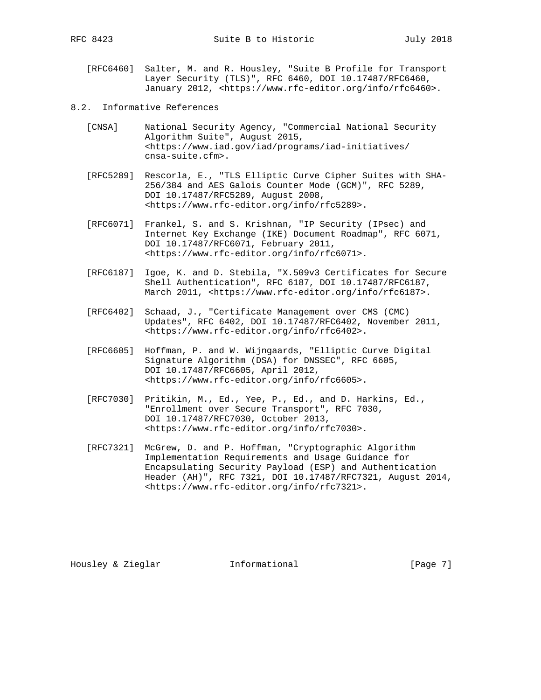- [RFC6460] Salter, M. and R. Housley, "Suite B Profile for Transport Layer Security (TLS)", RFC 6460, DOI 10.17487/RFC6460, January 2012, <https://www.rfc-editor.org/info/rfc6460>.
- 8.2. Informative References
	- [CNSA] National Security Agency, "Commercial National Security Algorithm Suite", August 2015, <https://www.iad.gov/iad/programs/iad-initiatives/ cnsa-suite.cfm>.
	- [RFC5289] Rescorla, E., "TLS Elliptic Curve Cipher Suites with SHA- 256/384 and AES Galois Counter Mode (GCM)", RFC 5289, DOI 10.17487/RFC5289, August 2008, <https://www.rfc-editor.org/info/rfc5289>.
	- [RFC6071] Frankel, S. and S. Krishnan, "IP Security (IPsec) and Internet Key Exchange (IKE) Document Roadmap", RFC 6071, DOI 10.17487/RFC6071, February 2011, <https://www.rfc-editor.org/info/rfc6071>.
	- [RFC6187] Igoe, K. and D. Stebila, "X.509v3 Certificates for Secure Shell Authentication", RFC 6187, DOI 10.17487/RFC6187, March 2011, <https://www.rfc-editor.org/info/rfc6187>.
	- [RFC6402] Schaad, J., "Certificate Management over CMS (CMC) Updates", RFC 6402, DOI 10.17487/RFC6402, November 2011, <https://www.rfc-editor.org/info/rfc6402>.
	- [RFC6605] Hoffman, P. and W. Wijngaards, "Elliptic Curve Digital Signature Algorithm (DSA) for DNSSEC", RFC 6605, DOI 10.17487/RFC6605, April 2012, <https://www.rfc-editor.org/info/rfc6605>.
	- [RFC7030] Pritikin, M., Ed., Yee, P., Ed., and D. Harkins, Ed., "Enrollment over Secure Transport", RFC 7030, DOI 10.17487/RFC7030, October 2013, <https://www.rfc-editor.org/info/rfc7030>.
	- [RFC7321] McGrew, D. and P. Hoffman, "Cryptographic Algorithm Implementation Requirements and Usage Guidance for Encapsulating Security Payload (ESP) and Authentication Header (AH)", RFC 7321, DOI 10.17487/RFC7321, August 2014, <https://www.rfc-editor.org/info/rfc7321>.

Housley & Zieglar **Informational** [Page 7]